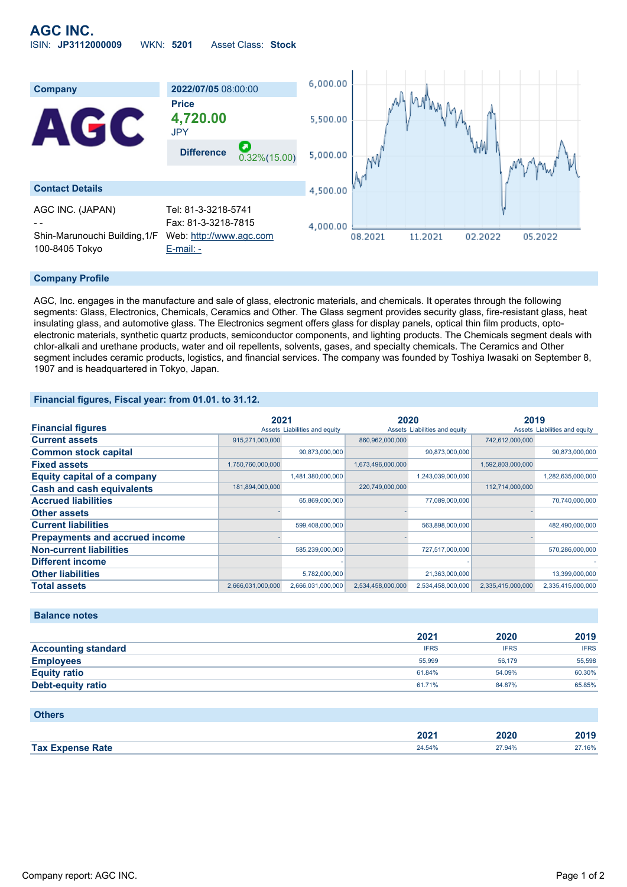

#### **Company Profile**

AGC, Inc. engages in the manufacture and sale of glass, electronic materials, and chemicals. It operates through the following segments: Glass, Electronics, Chemicals, Ceramics and Other. The Glass segment provides security glass, fire-resistant glass, heat insulating glass, and automotive glass. The Electronics segment offers glass for display panels, optical thin film products, optoelectronic materials, synthetic quartz products, semiconductor components, and lighting products. The Chemicals segment deals with chlor-alkali and urethane products, water and oil repellents, solvents, gases, and specialty chemicals. The Ceramics and Other segment includes ceramic products, logistics, and financial services. The company was founded by Toshiya Iwasaki on September 8, 1907 and is headquartered in Tokyo, Japan.

#### **Financial figures, Fiscal year: from 01.01. to 31.12.**

|                                       | 2021              |                               | 2020              |                               | 2019              |                               |
|---------------------------------------|-------------------|-------------------------------|-------------------|-------------------------------|-------------------|-------------------------------|
| <b>Financial figures</b>              |                   | Assets Liabilities and equity |                   | Assets Liabilities and equity |                   | Assets Liabilities and equity |
| <b>Current assets</b>                 | 915,271,000,000   |                               | 860,962,000,000   |                               | 742,612,000,000   |                               |
| <b>Common stock capital</b>           |                   | 90,873,000,000                |                   | 90,873,000,000                |                   | 90,873,000,000                |
| <b>Fixed assets</b>                   | 1,750,760,000,000 |                               | 1,673,496,000,000 |                               | 1,592,803,000,000 |                               |
| <b>Equity capital of a company</b>    |                   | 1,481,380,000,000             |                   | 1,243,039,000,000             |                   | 1,282,635,000,000             |
| <b>Cash and cash equivalents</b>      | 181,894,000,000   |                               | 220,749,000,000   |                               | 112,714,000,000   |                               |
| <b>Accrued liabilities</b>            |                   | 65,869,000,000                |                   | 77,089,000,000                |                   | 70,740,000,000                |
| <b>Other assets</b>                   |                   |                               |                   |                               |                   |                               |
| <b>Current liabilities</b>            |                   | 599,408,000,000               |                   | 563,898,000,000               |                   | 482,490,000,000               |
| <b>Prepayments and accrued income</b> |                   |                               |                   |                               |                   |                               |
| <b>Non-current liabilities</b>        |                   | 585,239,000,000               |                   | 727,517,000,000               |                   | 570,286,000,000               |
| <b>Different income</b>               |                   |                               |                   |                               |                   |                               |
| <b>Other liabilities</b>              |                   | 5,782,000,000                 |                   | 21,363,000,000                |                   | 13,399,000,000                |
| <b>Total assets</b>                   | 2,666,031,000,000 | 2,666,031,000,000             | 2,534,458,000,000 | 2,534,458,000,000             | 2,335,415,000,000 | 2,335,415,000,000             |

#### **Balance notes**

|                            | 2021        | 2020        | 2019        |
|----------------------------|-------------|-------------|-------------|
| <b>Accounting standard</b> | <b>IFRS</b> | <b>IFRS</b> | <b>IFRS</b> |
| <b>Employees</b>           | 55,999      | 56.179      | 55,598      |
| <b>Equity ratio</b>        | 61.84%      | 54.09%      | 60.30%      |
| <b>Debt-equity ratio</b>   | 61.71%      | 84.87%      | 65.85%      |

| <b>Others</b>           |        |        |        |
|-------------------------|--------|--------|--------|
|                         | 2021   | 2020   | 2019   |
| <b>Tax Expense Rate</b> | 24.54% | 27.94% | 27.16% |